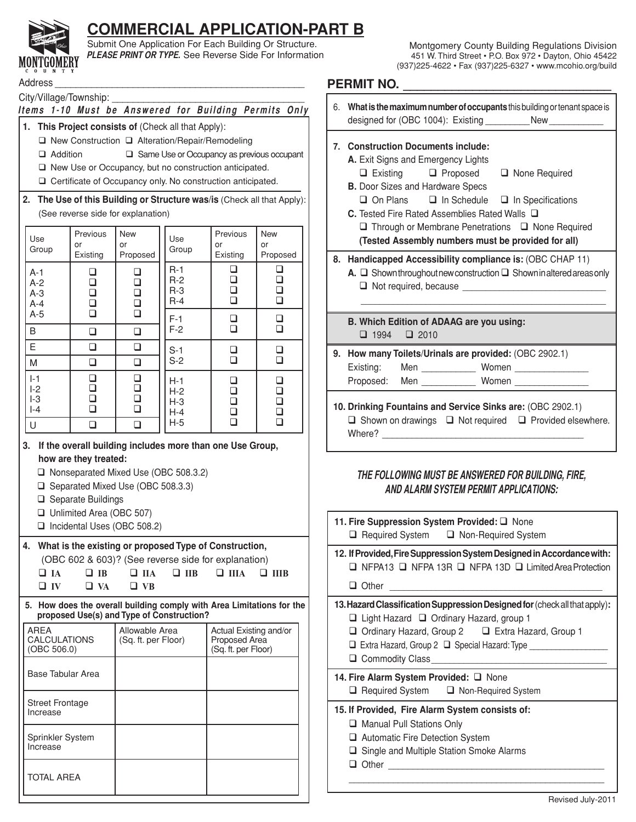

# **COMMERCIAL APPLICATION-PART B**

Submit One Application For Each Building Or Structure. **PLEASE PRINT OR TYPE.** See Reverse Side For Information

City/Village/Township: \_\_\_\_

### Items 1-10 Must be Answered for Building Permits Only

- **1. This Project consists of** (Check all that Apply):
	- □ New Construction □ Alteration/Repair/Remodeling
	- $\Box$  Addition  $\Box$  Same Use or Occupancy as previous occupant
	- □ New Use or Occupancy, but no construction anticipated.
	- Certificate of Occupancy only. No construction anticipated.
- **2. The Use of this Building or Structure was/is** (Check all that Apply): (See reverse side for explanation)

| Use<br>Group                     | Previous<br>or<br>Existing                                         | <b>New</b><br>or<br>Proposed         | Use<br>Group                     | Previous<br>or<br>Existing      | <b>New</b><br>or<br>Proposed         |
|----------------------------------|--------------------------------------------------------------------|--------------------------------------|----------------------------------|---------------------------------|--------------------------------------|
| $A-1$<br>$A-2$<br>$A-3$<br>$A-4$ | ❏<br>❏<br>$\Box$<br>$\Box$<br>$\Box$<br>$\Box$<br>$\Box$<br>$\Box$ |                                      | $R-1$<br>$R-2$<br>$R-3$<br>$R-4$ | ❏<br>$\Box$<br>❏<br>❏           | ❏<br>$\Box$<br>$\Box$<br>$\Box$      |
| $A-5$<br>B                       | $\Box$<br>❏                                                        | $\Box$<br>$\Box$                     | $F-1$<br>$F-2$                   | ❏<br>$\Box$                     | $\Box$<br>$\Box$                     |
| E                                | ❏                                                                  | $\Box$                               | $S-1$                            | ❏                               | $\Box$                               |
| M                                | ❏                                                                  | ❏                                    | $S-2$                            | $\Box$                          | $\Box$                               |
| $I-1$<br>$ -2$<br>$-3$<br>$ -4$  | ❏<br>$\Box$<br>$\Box$<br>$\Box$                                    | $\Box$<br>$\Box$<br>$\Box$<br>$\Box$ | $H-1$<br>$H-2$<br>$H-3$<br>$H-4$ | ❏<br>$\Box$<br>$\Box$<br>$\Box$ | $\Box$<br>$\Box$<br>$\Box$<br>$\Box$ |
| U                                | ❏                                                                  | ❏                                    | $H-5$                            | ❏                               | ❏                                    |

### **3. If the overall building includes more than one Use Group, how are they treated:**

- □ Nonseparated Mixed Use (OBC 508.3.2)
- □ Separated Mixed Use (OBC 508.3.3)
- $\Box$  Separate Buildings
- □ Unlimited Area (OBC 507)
- Incidental Uses (OBC 508.2)

### **4. What is the existing or proposed Type of Construction,**  (OBC 602 & 603)? (See reverse side for explanation) **IA IB IIA IIB IIIA IIIB**

| <u>_ 1A</u> | ______              |  |  |
|-------------|---------------------|--|--|
| $\Box$ IV   | $\Box$ VA $\Box$ VB |  |  |

 **5. How does the overall building comply with Area Limitations for the proposed Use(s) and Type of Construction?**

| AREA<br><b>CALCULATIONS</b><br>(OBC 506.0) | Allowable Area<br>(Sq. ft. per Floor) | Actual Existing and/or<br>Proposed Area<br>(Sq. ft. per Floor) |
|--------------------------------------------|---------------------------------------|----------------------------------------------------------------|
| <b>Base Tabular Area</b>                   |                                       |                                                                |
| <b>Street Frontage</b><br>Increase         |                                       |                                                                |
| Sprinkler System<br>Increase               |                                       |                                                                |
| <b>TOTAL AREA</b>                          |                                       |                                                                |

## Address \_\_\_\_\_\_\_\_\_\_\_\_\_\_\_\_\_\_\_\_\_\_\_\_\_\_\_\_\_\_\_\_\_\_\_\_\_\_\_\_\_\_\_\_\_\_\_\_ **PERMIT NO. \_\_\_\_\_\_\_\_\_\_\_\_\_\_\_\_\_\_\_\_\_\_\_\_\_\_\_\_\_\_**

| 6.      | What is the maximum number of occupants this building or tenant space is<br>designed for (OBC 1004): Existing New                                                                                                                                                                                                                                     |  |  |  |  |  |
|---------|-------------------------------------------------------------------------------------------------------------------------------------------------------------------------------------------------------------------------------------------------------------------------------------------------------------------------------------------------------|--|--|--|--|--|
| $7_{-}$ | <b>Construction Documents include:</b><br>A. Exit Signs and Emergency Lights<br>□ Existing □ Proposed □ None Required<br><b>B.</b> Door Sizes and Hardware Specs<br>$\Box$ On Plans $\Box$ In Schedule $\Box$ In Specifications<br>C. Tested Fire Rated Assemblies Rated Walls $\Box$<br>$\Box$ Through or Membrane Penetrations $\Box$ None Required |  |  |  |  |  |
|         | (Tested Assembly numbers must be provided for all)                                                                                                                                                                                                                                                                                                    |  |  |  |  |  |
|         | 8. Handicapped Accessibility compliance is: (OBC CHAP 11)<br>A. $\Box$ Shown throughout new construction $\Box$ Shown in altered areas only                                                                                                                                                                                                           |  |  |  |  |  |
|         | B. Which Edition of ADAAG are you using:                                                                                                                                                                                                                                                                                                              |  |  |  |  |  |
|         | $\Box$ 1994 $\Box$ 2010                                                                                                                                                                                                                                                                                                                               |  |  |  |  |  |
|         | 9. How many Toilets/Urinals are provided: (OBC 2902.1)                                                                                                                                                                                                                                                                                                |  |  |  |  |  |
|         | Existing: Men _____________ Women _______________                                                                                                                                                                                                                                                                                                     |  |  |  |  |  |
|         | Proposed: Men _____________ Women ________________                                                                                                                                                                                                                                                                                                    |  |  |  |  |  |
|         | 10. Drinking Fountains and Service Sinks are: (OBC 2902.1)                                                                                                                                                                                                                                                                                            |  |  |  |  |  |

# $\Box$  Shown on drawings  $\Box$  Not required  $\Box$  Provided elsewhere. Where?  $\_$

## **THE FOLLOWING MUST BE ANSWERED FOR BUILDING, FIRE, AND ALARM SYSTEM PERMIT APPLICATIONS:**

| 11. Fire Suppression System Provided: Q None<br>$\Box$ Required System $\Box$ Non-Required System                                                                                                                                                                                     |  |  |  |  |  |
|---------------------------------------------------------------------------------------------------------------------------------------------------------------------------------------------------------------------------------------------------------------------------------------|--|--|--|--|--|
| 12. If Provided, Fire Suppression System Designed in Accordance with:<br>$\Box$ NFPA13 $\Box$ NFPA 13R $\Box$ NFPA 13D $\Box$ Limited Area Protection                                                                                                                                 |  |  |  |  |  |
| $\Box$ Other                                                                                                                                                                                                                                                                          |  |  |  |  |  |
| 13. Hazard Classification Suppression Designed for (check all that apply):<br>$\Box$ Light Hazard $\Box$ Ordinary Hazard, group 1<br>Ordinary Hazard, Group 2<br><u> </u> Extra Hazard, Group 1<br>□ Extra Hazard, Group 2 □ Special Hazard: Type _________<br>$\Box$ Commodity Class |  |  |  |  |  |
| 14. Fire Alarm System Provided: Q None<br>□ Required System □ Non-Required System                                                                                                                                                                                                     |  |  |  |  |  |
| 15. If Provided, Fire Alarm System consists of:<br>Manual Pull Stations Only<br>□ Automatic Fire Detection System<br>$\Box$ Single and Multiple Station Smoke Alarms<br>$\Box$ Other                                                                                                  |  |  |  |  |  |